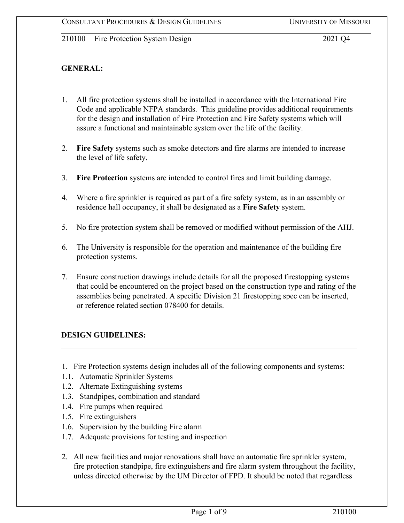### **GENERAL:**

- 1. All fire protection systems shall be installed in accordance with the International Fire Code and applicable NFPA standards. This guideline provides additional requirements for the design and installation of Fire Protection and Fire Safety systems which will assure a functional and maintainable system over the life of the facility.
- 2. **Fire Safety** systems such as smoke detectors and fire alarms are intended to increase the level of life safety.
- 3. **Fire Protection** systems are intended to control fires and limit building damage.
- 4. Where a fire sprinkler is required as part of a fire safety system, as in an assembly or residence hall occupancy, it shall be designated as a **Fire Safety** system.
- 5. No fire protection system shall be removed or modified without permission of the AHJ.
- 6. The University is responsible for the operation and maintenance of the building fire protection systems.
- 7. Ensure construction drawings include details for all the proposed firestopping systems that could be encountered on the project based on the construction type and rating of the assemblies being penetrated. A specific Division 21 firestopping spec can be inserted, or reference related section 078400 for details.

#### **DESIGN GUIDELINES:**

- 1. Fire Protection systems design includes all of the following components and systems:
- 1.1. Automatic Sprinkler Systems
- 1.2. Alternate Extinguishing systems
- 1.3. Standpipes, combination and standard
- 1.4. Fire pumps when required
- 1.5. Fire extinguishers
- 1.6. Supervision by the building Fire alarm
- 1.7. Adequate provisions for testing and inspection
- 2. All new facilities and major renovations shall have an automatic fire sprinkler system, fire protection standpipe, fire extinguishers and fire alarm system throughout the facility, unless directed otherwise by the UM Director of FPD. It should be noted that regardless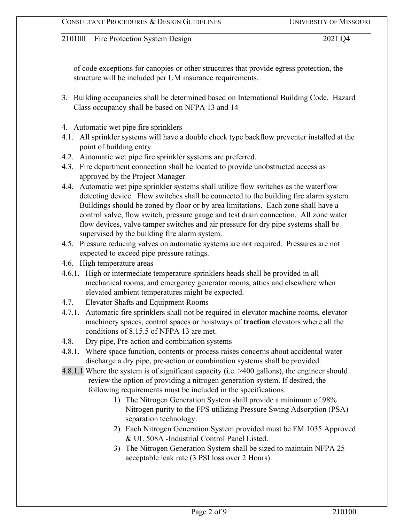of code exceptions for canopies or other structures that provide egress protection, the structure will be included per UM insurance requirements.

- 3. Building occupancies shall be determined based on International Building Code. Hazard Class occupancy shall be based on NFPA 13 and 14
- 4. Automatic wet pipe fire sprinklers
- 4.1. All sprinkler systems will have a double check type backflow preventer installed at the point of building entry
- 4.2. Automatic wet pipe fire sprinkler systems are preferred.
- 4.3. Fire department connection shall be located to provide unobstructed access as approved by the Project Manager.
- 4.4. Automatic wet pipe sprinkler systems shall utilize flow switches as the waterflow detecting device. Flow switches shall be connected to the building fire alarm system. Buildings should be zoned by floor or by area limitations. Each zone shall have a control valve, flow switch, pressure gauge and test drain connection. All zone water flow devices, valve tamper switches and air pressure for dry pipe systems shall be supervised by the building fire alarm system.
- 4.5. Pressure reducing valves on automatic systems are not required. Pressures are not expected to exceed pipe pressure ratings.
- 4.6. High temperature areas
- 4.6.1. High or intermediate temperature sprinklers heads shall be provided in all mechanical rooms, and emergency generator rooms, attics and elsewhere when elevated ambient temperatures might be expected.
- 4.7. Elevator Shafts and Equipment Rooms
- 4.7.1. Automatic fire sprinklers shall not be required in elevator machine rooms, elevator machinery spaces, control spaces or hoistways of **traction** elevators where all the conditions of 8.15.5 of NFPA 13 are met.
- 4.8. Dry pipe, Pre-action and combination systems
- 4.8.1. Where space function, contents or process raises concerns about accidental water discharge a dry pipe, pre-action or combination systems shall be provided.
- 4.8.1.1 Where the system is of significant capacity (i.e. >400 gallons), the engineer should review the option of providing a nitrogen generation system. If desired, the following requirements must be included in the specifications:
	- 1) The Nitrogen Generation System shall provide a minimum of 98% Nitrogen purity to the FPS utilizing Pressure Swing Adsorption (PSA) separation technology.
	- 2) Each Nitrogen Generation System provided must be FM 1035 Approved & UL 508A -Industrial Control Panel Listed.
	- 3) The Nitrogen Generation System shall be sized to maintain NFPA 25 acceptable leak rate (3 PSI loss over 2 Hours).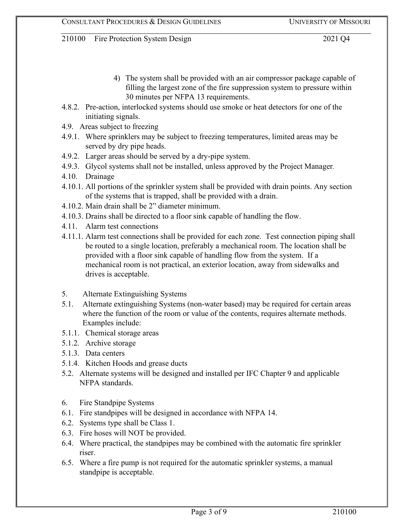- 4) The system shall be provided with an air compressor package capable of filling the largest zone of the fire suppression system to pressure within 30 minutes per NFPA 13 requirements.
- 4.8.2. Pre-action, interlocked systems should use smoke or heat detectors for one of the initiating signals.
- 4.9. Areas subject to freezing
- 4.9.1. Where sprinklers may be subject to freezing temperatures, limited areas may be served by dry pipe heads.
- 4.9.2. Larger areas should be served by a dry-pipe system.
- 4.9.3. Glycol systems shall not be installed, unless approved by the Project Manager*.*
- 4.10. Drainage
- 4.10.1. All portions of the sprinkler system shall be provided with drain points. Any section of the systems that is trapped, shall be provided with a drain.
- 4.10.2. Main drain shall be 2" diameter minimum.
- 4.10.3. Drains shall be directed to a floor sink capable of handling the flow.
- 4.11. Alarm test connections
- 4.11.1. Alarm test connections shall be provided for each zone. Test connection piping shall be routed to a single location, preferably a mechanical room. The location shall be provided with a floor sink capable of handling flow from the system. If a mechanical room is not practical, an exterior location, away from sidewalks and drives is acceptable.
- 5. Alternate Extinguishing Systems
- 5.1. Alternate extinguishing Systems (non-water based) may be required for certain areas where the function of the room or value of the contents, requires alternate methods. Examples include:
- 5.1.1. Chemical storage areas
- 5.1.2. Archive storage
- 5.1.3. Data centers
- 5.1.4. Kitchen Hoods and grease ducts
- 5.2. Alternate systems will be designed and installed per IFC Chapter 9 and applicable NFPA standards.
- 6. Fire Standpipe Systems
- 6.1. Fire standpipes will be designed in accordance with NFPA 14.
- 6.2. Systems type shall be Class 1.
- 6.3. Fire hoses will NOT be provided.
- 6.4. Where practical, the standpipes may be combined with the automatic fire sprinkler riser.
- 6.5. Where a fire pump is not required for the automatic sprinkler systems, a manual standpipe is acceptable.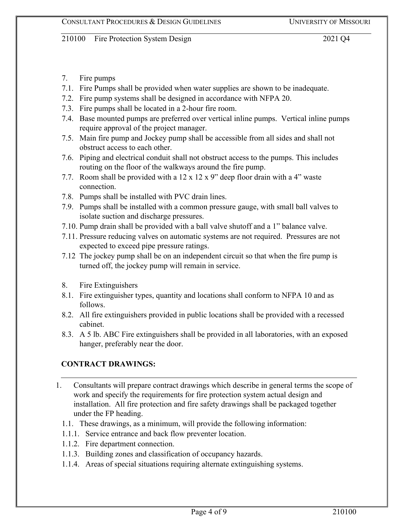- 7. Fire pumps
- 7.1. Fire Pumps shall be provided when water supplies are shown to be inadequate.
- 7.2. Fire pump systems shall be designed in accordance with NFPA 20.
- 7.3. Fire pumps shall be located in a 2-hour fire room.
- 7.4. Base mounted pumps are preferred over vertical inline pumps. Vertical inline pumps require approval of the project manager.
- 7.5. Main fire pump and Jockey pump shall be accessible from all sides and shall not obstruct access to each other.
- 7.6. Piping and electrical conduit shall not obstruct access to the pumps. This includes routing on the floor of the walkways around the fire pump.
- 7.7. Room shall be provided with a 12 x 12 x 9" deep floor drain with a 4" waste connection.
- 7.8. Pumps shall be installed with PVC drain lines.
- 7.9. Pumps shall be installed with a common pressure gauge, with small ball valves to isolate suction and discharge pressures.
- 7.10. Pump drain shall be provided with a ball valve shutoff and a 1" balance valve.
- 7.11. Pressure reducing valves on automatic systems are not required. Pressures are not expected to exceed pipe pressure ratings.
- 7.12 The jockey pump shall be on an independent circuit so that when the fire pump is turned off, the jockey pump will remain in service.
- 8. Fire Extinguishers
- 8.1. Fire extinguisher types, quantity and locations shall conform to NFPA 10 and as follows.
- 8.2. All fire extinguishers provided in public locations shall be provided with a recessed cabinet.
- 8.3. A 5 lb. ABC Fire extinguishers shall be provided in all laboratories, with an exposed hanger, preferably near the door.

## **CONTRACT DRAWINGS:**

- 1. Consultants will prepare contract drawings which describe in general terms the scope of work and specify the requirements for fire protection system actual design and installation. All fire protection and fire safety drawings shall be packaged together under the FP heading.
	- 1.1. These drawings, as a minimum, will provide the following information:
	- 1.1.1. Service entrance and back flow preventer location.
	- 1.1.2. Fire department connection.
	- 1.1.3. Building zones and classification of occupancy hazards.
	- 1.1.4. Areas of special situations requiring alternate extinguishing systems.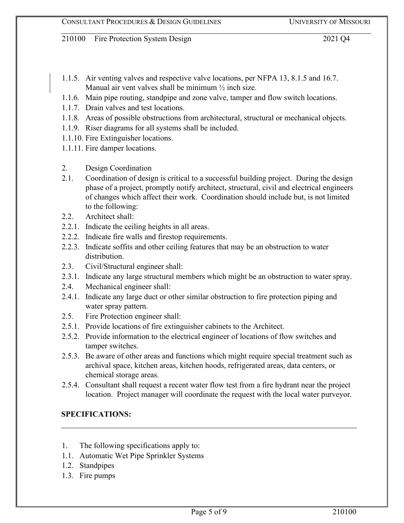- 1.1.5. Air venting valves and respective valve locations, per NFPA 13, 8.1.5 and 16.7. Manual air vent valves shall be minimum  $\frac{1}{2}$  inch size.
- 1.1.6. Main pipe routing, standpipe and zone valve, tamper and flow switch locations.
- 1.1.7. Drain valves and test locations.
- 1.1.8. Areas of possible obstructions from architectural, structural or mechanical objects.
- 1.1.9. Riser diagrams for all systems shall be included.
- 1.1.10. Fire Extinguisher locations.
- 1.1.11. Fire damper locations.
- 2. Design Coordination
- 2.1. Coordination of design is critical to a successful building project. During the design phase of a project, promptly notify architect, structural, civil and electrical engineers of changes which affect their work. Coordination should include but, is not limited to the following:
- 2.2. Architect shall:
- 2.2.1. Indicate the ceiling heights in all areas.
- 2.2.2. Indicate fire walls and firestop requirements.
- 2.2.3. Indicate soffits and other ceiling features that may be an obstruction to water distribution.
- 2.3. Civil/Structural engineer shall:
- 2.3.1. Indicate any large structural members which might be an obstruction to water spray.
- 2.4. Mechanical engineer shall:
- 2.4.1. Indicate any large duct or other similar obstruction to fire protection piping and water spray pattern.
- 2.5. Fire Protection engineer shall:
- 2.5.1. Provide locations of fire extinguisher cabinets to the Architect.
- 2.5.2. Provide information to the electrical engineer of locations of flow switches and tamper switches.
- 2.5.3. Be aware of other areas and functions which might require special treatment such as archival space, kitchen areas, kitchen hoods, refrigerated areas, data centers, or chemical storage areas.
- 2.5.4. Consultant shall request a recent water flow test from a fire hydrant near the project location. Project manager will coordinate the request with the local water purveyor.

## **SPECIFICATIONS:**

- 1. The following specifications apply to:
- 1.1. Automatic Wet Pipe Sprinkler Systems
- 1.2. Standpipes
- 1.3. Fire pumps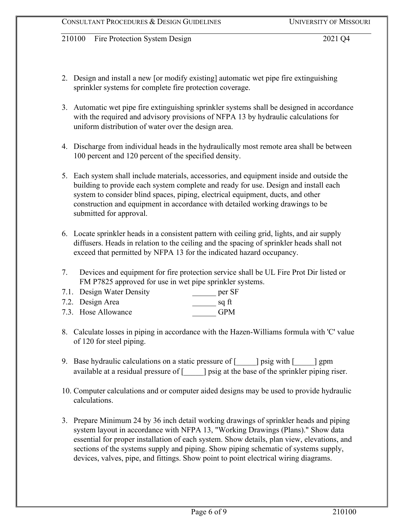- 2. Design and install a new [or modify existing] automatic wet pipe fire extinguishing sprinkler systems for complete fire protection coverage.
- 3. Automatic wet pipe fire extinguishing sprinkler systems shall be designed in accordance with the required and advisory provisions of NFPA 13 by hydraulic calculations for uniform distribution of water over the design area.
- 4. Discharge from individual heads in the hydraulically most remote area shall be between 100 percent and 120 percent of the specified density.
- 5. Each system shall include materials, accessories, and equipment inside and outside the building to provide each system complete and ready for use. Design and install each system to consider blind spaces, piping, electrical equipment, ducts, and other construction and equipment in accordance with detailed working drawings to be submitted for approval.
- 6. Locate sprinkler heads in a consistent pattern with ceiling grid, lights, and air supply diffusers. Heads in relation to the ceiling and the spacing of sprinkler heads shall not exceed that permitted by NFPA 13 for the indicated hazard occupancy.
- 7. Devices and equipment for fire protection service shall be UL Fire Prot Dir listed or FM P7825 approved for use in wet pipe sprinkler systems.

| 7.1. Design Water Density | per SF     |
|---------------------------|------------|
| 7.2. Design Area          | sq ft      |
| 7.3. Hose Allowance       | <b>GPM</b> |

- 8. Calculate losses in piping in accordance with the Hazen-Williams formula with 'C' value of 120 for steel piping.
- 9. Base hydraulic calculations on a static pressure of [\_\_\_\_\_] psig with [\_\_\_\_\_] gpm available at a residual pressure of [\_\_\_\_\_] psig at the base of the sprinkler piping riser.
- 10. Computer calculations and or computer aided designs may be used to provide hydraulic calculations.
- 3. Prepare Minimum 24 by 36 inch detail working drawings of sprinkler heads and piping system layout in accordance with NFPA 13, "Working Drawings (Plans)." Show data essential for proper installation of each system. Show details, plan view, elevations, and sections of the systems supply and piping. Show piping schematic of systems supply, devices, valves, pipe, and fittings. Show point to point electrical wiring diagrams.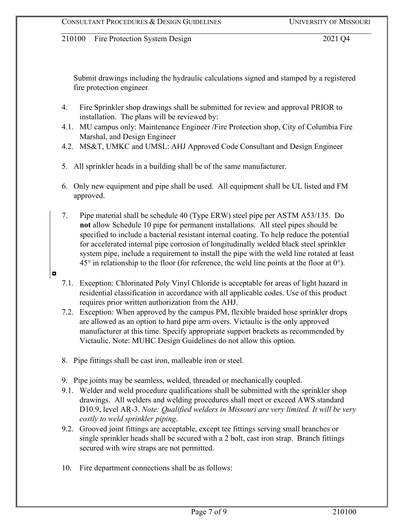Submit drawings including the hydraulic calculations signed and stamped by a registered fire protection engineer.

- 4. Fire Sprinkler shop drawings shall be submitted for review and approval PRIOR to installation. The plans will be reviewed by:
- 4.1. MU campus only: Maintenance Engineer /Fire Protection shop, City of Columbia Fire Marshal, and Design Engineer
- 4.2. MS&T, UMKC and UMSL: AHJ Approved Code Consultant and Design Engineer
- 5. All sprinkler heads in a building shall be of the same manufacturer.
- 6. Only new equipment and pipe shall be used. All equipment shall be UL listed and FM approved.
- 7. Pipe material shall be schedule 40 (Type ERW) steel pipe per ASTM A53/135. Do **not** allow Schedule 10 pipe for permanent installations. All steel pipes should be specified to include a bacterial resistant internal coating. To help reduce the potential for accelerated internal pipe corrosion of longitudinally welded black steel sprinkler system pipe, include a requirement to install the pipe with the weld line rotated at least  $45^{\circ}$  in relationship to the floor (for reference, the weld line points at the floor at  $0^{\circ}$ ).
- 7.1. Exception: Chlorinated Poly Vinyl Chloride is acceptable for areas of light hazard in residential classification in accordance with all applicable codes. Use of this product requires prior written authorization from the AHJ.
- 7.2. Exception: When approved by the campus PM, flexible braided hose sprinkler drops are allowed as an option to hard pipe arm overs. Victaulic is the only approved manufacturer at this time. Specify appropriate support brackets as recommended by Victaulic. Note: MUHC Design Guidelines do not allow this option.
- 8. Pipe fittings shall be cast iron, malleable iron or steel.

◘

- 9. Pipe joints may be seamless, welded, threaded or mechanically coupled.
- 9.1. Welder and weld procedure qualifications shall be submitted with the sprinkler shop drawings. All welders and welding procedures shall meet or exceed AWS standard D10.9, level AR-3. *Note: Qualified welders in Missouri are very limited. It will be very costly to weld sprinkler piping*.
- 9.2. Grooved joint fittings are acceptable, except tee fittings serving small branches or single sprinkler heads shall be secured with a 2 bolt, cast iron strap. Branch fittings secured with wire straps are not permitted.
- 10. Fire department connections shall be as follows: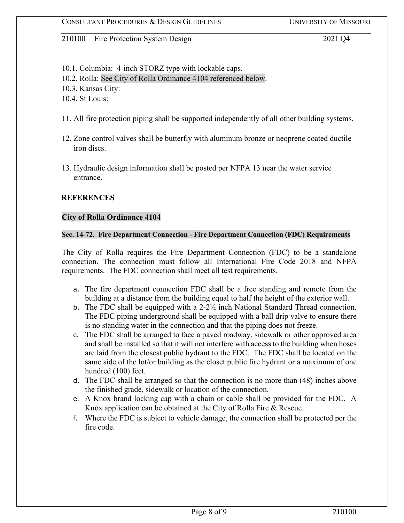10.1. Columbia: 4-inch STORZ type with lockable caps.

10.2. Rolla: See City of Rolla Ordinance 4104 referenced below.

10.3. Kansas City:

10.4. St Louis:

- 11. All fire protection piping shall be supported independently of all other building systems.
- 12. Zone control valves shall be butterfly with aluminum bronze or neoprene coated ductile iron discs.
- 13. Hydraulic design information shall be posted per NFPA 13 near the water service entrance.

#### **REFERENCES**

#### **City of Rolla Ordinance 4104**

#### **Sec. 14-72. Fire Department Connection - Fire Department Connection (FDC) Requirements**

The City of Rolla requires the Fire Department Connection (FDC) to be a standalone connection. The connection must follow all International Fire Code 2018 and NFPA requirements. The FDC connection shall meet all test requirements.

- a. The fire department connection FDC shall be a free standing and remote from the building at a distance from the building equal to half the height of the exterior wall.
- b. The FDC shall be equipped with a 2-2½ inch National Standard Thread connection. The FDC piping underground shall be equipped with a ball drip valve to ensure there is no standing water in the connection and that the piping does not freeze.
- c. The FDC shall be arranged to face a paved roadway, sidewalk or other approved area and shall be installed so that it will not interfere with access to the building when hoses are laid from the closest public hydrant to the FDC. The FDC shall be located on the same side of the lot/or building as the closet public fire hydrant or a maximum of one hundred (100) feet.
- d. The FDC shall be arranged so that the connection is no more than (48) inches above the finished grade, sidewalk or location of the connection.
- e. A Knox brand locking cap with a chain or cable shall be provided for the FDC. A Knox application can be obtained at the City of Rolla Fire & Rescue.
- f. Where the FDC is subject to vehicle damage, the connection shall be protected per the fire code.